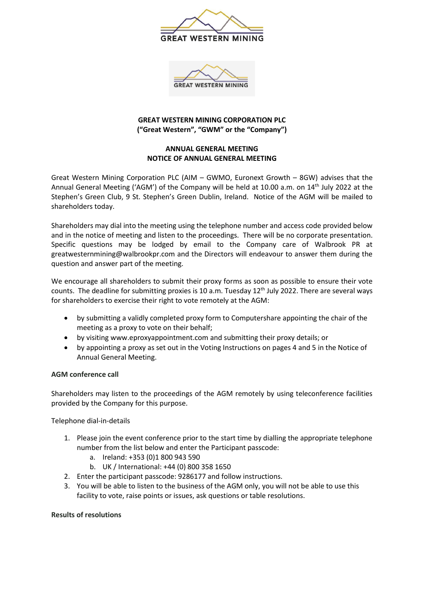



### **GREAT WESTERN MINING CORPORATION PLC ("Great Western", "GWM" or the "Company")**

# **ANNUAL GENERAL MEETING NOTICE OF ANNUAL GENERAL MEETING**

Great Western Mining Corporation PLC (AIM – GWMO, Euronext Growth – 8GW) advises that the Annual General Meeting ('AGM') of the Company will be held at 10.00 a.m. on 14<sup>th</sup> July 2022 at the Stephen's Green Club, 9 St. Stephen's Green Dublin, Ireland. Notice of the AGM will be mailed to shareholders today.

Shareholders may dial into the meeting using the telephone number and access code provided below and in the notice of meeting and listen to the proceedings. There will be no corporate presentation. Specific questions may be lodged by email to the Company care of Walbrook PR at greatwesternmining@walbrookpr.com and the Directors will endeavour to answer them during the question and answer part of the meeting.

We encourage all shareholders to submit their proxy forms as soon as possible to ensure their vote counts. The deadline for submitting proxies is 10 a.m. Tuesday 12<sup>th</sup> July 2022. There are several ways for shareholders to exercise their right to vote remotely at the AGM:

- by submitting a validly completed proxy form to Computershare appointing the chair of the meeting as a proxy to vote on their behalf;
- by visiting [www.eproxyappointment.com](http://www.eproxyappointment.com/) and submitting their proxy details; or
- by appointing a proxy as set out in the Voting Instructions on pages 4 and 5 in the Notice of Annual General Meeting.

# **AGM conference call**

Shareholders may listen to the proceedings of the AGM remotely by using teleconference facilities provided by the Company for this purpose.

Telephone dial-in-details

- 1. Please join the event conference prior to the start time by dialling the appropriate telephone number from the list below and enter the Participant passcode:
	- a. Ireland: +353 (0)1 800 943 590
	- b. UK / International: +44 (0) 800 358 1650
- 2. Enter the participant passcode: 9286177 and follow instructions.
- 3. You will be able to listen to the business of the AGM only, you will not be able to use this facility to vote, raise points or issues, ask questions or table resolutions.

#### **Results of resolutions**